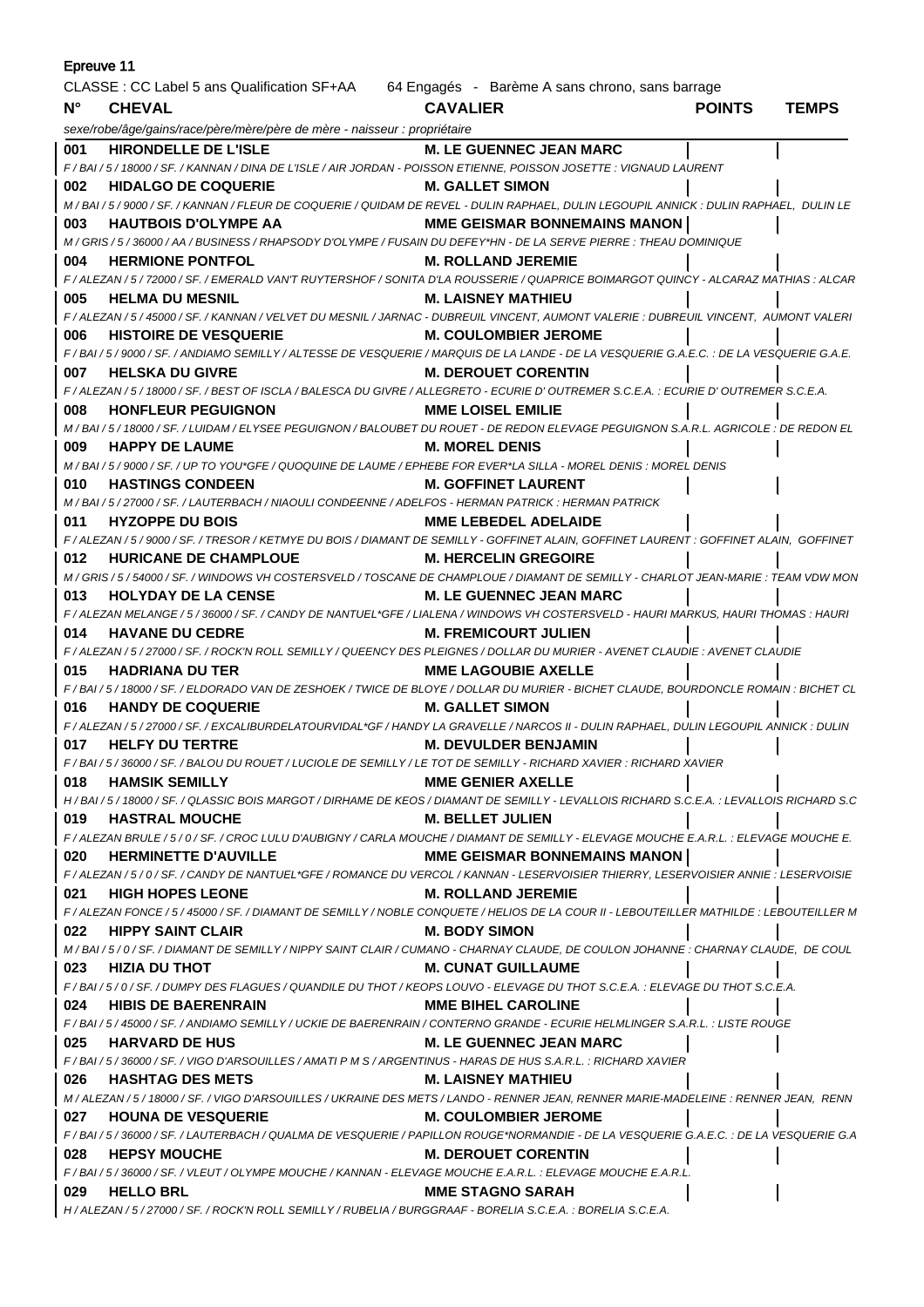| Epreuve 11                                                                                  |                                                                                                                                                                     |                                       |               |              |  |
|---------------------------------------------------------------------------------------------|---------------------------------------------------------------------------------------------------------------------------------------------------------------------|---------------------------------------|---------------|--------------|--|
| CLASSE : CC Label 5 ans Qualification SF+AA 64 Engagés - Barème A sans chrono, sans barrage |                                                                                                                                                                     |                                       |               |              |  |
| $N^{\circ}$                                                                                 | <b>CHEVAL</b>                                                                                                                                                       | <b>CAVALIER</b>                       | <b>POINTS</b> | <b>TEMPS</b> |  |
|                                                                                             | sexe/robe/âge/gains/race/père/mère/père de mère - naisseur : propriétaire                                                                                           |                                       |               |              |  |
| 001                                                                                         | HIRONDELLE DE L'ISLE                                                                                                                                                | <b>M. LE GUENNEC JEAN MARC</b>        |               |              |  |
|                                                                                             | F/BAI/5/18000/SF. / KANNAN/DINA DE L'ISLE/AIR JORDAN - POISSON ETIENNE, POISSON JOSETTE : VIGNAUD LAURENT                                                           |                                       |               |              |  |
| 002                                                                                         | <b>HIDALGO DE COQUERIE</b>                                                                                                                                          | <b>M. GALLET SIMON</b>                |               |              |  |
|                                                                                             | M / BAI / 5 / 9000 / SF. / KANNAN / FLEUR DE COQUERIE / QUIDAM DE REVEL - DULIN RAPHAEL, DULIN LEGOUPIL ANNICK : DULIN RAPHAEL, DULIN LE                            |                                       |               |              |  |
| 003                                                                                         | <b>HAUTBOIS D'OLYMPE AA</b>                                                                                                                                         | <b>MME GEISMAR BONNEMAINS MANON  </b> |               |              |  |
|                                                                                             | M / GRIS / 5 / 36000 / AA / BUSINESS / RHAPSODY D'OLYMPE / FUSAIN DU DEFEY*HN - DE LA SERVE PIERRE : THEAU DOMINIQUE                                                |                                       |               |              |  |
| 004                                                                                         | <b>HERMIONE PONTFOL</b>                                                                                                                                             | <b>M. ROLLAND JEREMIE</b>             |               |              |  |
|                                                                                             | F / ALEZAN / 5 / 72000 / SF. / EMERALD VAN'T RUYTERSHOF / SONITA D'LA ROUSSERIE / QUAPRICE BOIMARGOT QUINCY - ALCARAZ MATHIAS : ALCAR                               |                                       |               |              |  |
| 005                                                                                         | <b>HELMA DU MESNIL</b>                                                                                                                                              | <b>M. LAISNEY MATHIEU</b>             |               |              |  |
|                                                                                             | F / ALEZAN / 5 / 45000 / SF. / KANNAN / VELVET DU MESNIL / JARNAC - DUBREUIL VINCENT, AUMONT VALERIE : DUBREUIL VINCENT, AUMONT VALERI                              |                                       |               |              |  |
| 006                                                                                         | <b>HISTOIRE DE VESQUERIE</b>                                                                                                                                        | <b>M. COULOMBIER JEROME</b>           |               |              |  |
|                                                                                             | F / BAI / 5 / 9000 / SF. / ANDIAMO SEMILLY / ALTESSE DE VESQUERIE / MARQUIS DE LA LANDE - DE LA VESQUERIE G.A.E.C. : DE LA VESQUERIE G.A.E.                         |                                       |               |              |  |
| 007                                                                                         | <b>HELSKA DU GIVRE</b>                                                                                                                                              | <b>M. DEROUET CORENTIN</b>            |               |              |  |
|                                                                                             | F / ALEZAN / 5 / 18000 / SF. / BEST OF ISCLA / BALESCA DU GIVRE / ALLEGRETO - ECURIE D' OUTREMER S.C.E.A. : ECURIE D' OUTREMER S.C.E.A.                             |                                       |               |              |  |
| 008                                                                                         | <b>HONFLEUR PEGUIGNON</b><br>M / BAI / 5 / 18000 / SF. / LUIDAM / ELYSEE PEGUIGNON / BALOUBET DU ROUET - DE REDON ELEVAGE PEGUIGNON S.A.R.L. AGRICOLE : DE REDON EL | <b>MME LOISEL EMILIE</b>              |               |              |  |
| 009                                                                                         | <b>HAPPY DE LAUME</b>                                                                                                                                               | <b>M. MOREL DENIS</b>                 |               |              |  |
|                                                                                             | M / BAI / 5 / 9000 / SF. / UP TO YOU*GFE / QUOQUINE DE LAUME / EPHEBE FOR EVER*LA SILLA - MOREL DENIS : MOREL DENIS                                                 |                                       |               |              |  |
| 010                                                                                         | <b>HASTINGS CONDEEN</b>                                                                                                                                             | M. GOFFINET LAURENT                   |               |              |  |
|                                                                                             | M / BAI / 5 / 27000 / SF. / LAUTERBACH / NIAOULI CONDEENNE / ADELFOS - HERMAN PATRICK : HERMAN PATRICK                                                              |                                       |               |              |  |
| 011                                                                                         | <b>HYZOPPE DU BOIS</b>                                                                                                                                              | <b>MME LEBEDEL ADELAIDE</b>           |               |              |  |
|                                                                                             | F / ALEZAN / 5 / 9000 / SF. / TRESOR / KETMYE DU BOIS / DIAMANT DE SEMILLY - GOFFINET ALAIN, GOFFINET LAURENT : GOFFINET ALAIN, GOFFINET                            |                                       |               |              |  |
| 012                                                                                         | <b>HURICANE DE CHAMPLOUE</b>                                                                                                                                        | <b>M. HERCELIN GREGOIRE</b>           |               |              |  |
|                                                                                             | M / GRIS / 5 / 54000 / SF. / WINDOWS VH COSTERSVELD / TOSCANE DE CHAMPLOUE / DIAMANT DE SEMILLY - CHARLOT JEAN-MARIE : TEAM VDW MON                                 |                                       |               |              |  |
| 013                                                                                         | <b>HOLYDAY DE LA CENSE</b>                                                                                                                                          | <b>M. LE GUENNEC JEAN MARC</b>        |               |              |  |
|                                                                                             | F / ALEZAN MELANGE / 5 / 36000 / SF. / CANDY DE NANTUEL*GFE / LIALENA / WINDOWS VH COSTERSVELD - HAURI MARKUS, HAURI THOMAS : HAURI                                 |                                       |               |              |  |
| 014                                                                                         | <b>HAVANE DU CEDRE</b>                                                                                                                                              | <b>M. FREMICOURT JULIEN</b>           |               |              |  |
|                                                                                             | F / ALEZAN / 5 / 27000 / SF. / ROCK'N ROLL SEMILLY / QUEENCY DES PLEIGNES / DOLLAR DU MURIER - AVENET CLAUDIE : AVENET CLAUDIE                                      |                                       |               |              |  |
| 015                                                                                         | <b>HADRIANA DU TER</b>                                                                                                                                              | <b>MME LAGOUBIE AXELLE</b>            |               |              |  |
|                                                                                             | F/BAI/5/18000/SF./ELDORADO VAN DE ZESHOEK/TWICE DE BLOYE/DOLLAR DU MURIER - BICHET CLAUDE, BOURDONCLE ROMAIN: BICHET CL                                             |                                       |               |              |  |
| 016                                                                                         | <b>HANDY DE COQUERIE</b>                                                                                                                                            | <b>M. GALLET SIMON</b>                |               |              |  |
|                                                                                             | F / ALEZAN / 5 / 27000 / SF. / EXCALIBURDELATOURVIDAL*GF / HANDY LA GRAVELLE / NARCOS II - DULIN RAPHAEL, DULIN LEGOUPIL ANNICK : DULIN                             |                                       |               |              |  |
| 017                                                                                         | <b>HELFY DU TERTRE</b>                                                                                                                                              | <b>M. DEVULDER BENJAMIN</b>           |               |              |  |
|                                                                                             | F / BAI / 5 / 36000 / SF. / BALOU DU ROUET / LUCIOLE DE SEMILLY / LE TOT DE SEMILLY - RICHARD XAVIER : RICHARD XAVIER                                               |                                       |               |              |  |
| 018                                                                                         | <b>HAMSIK SEMILLY</b>                                                                                                                                               | <b>MME GENIER AXELLE</b>              |               |              |  |
|                                                                                             | H / BAI / 5 / 18000 / SF. / QLASSIC BOIS MARGOT / DIRHAME DE KEOS / DIAMANT DE SEMILLY - LEVALLOIS RICHARD S.C.E.A. : LEVALLOIS RICHARD S.C                         |                                       |               |              |  |
| 019                                                                                         | <b>HASTRAL MOUCHE</b>                                                                                                                                               | <b>M. BELLET JULIEN</b>               |               |              |  |
|                                                                                             | F / ALEZAN BRULE / 5 / 0 / SF. / CROC LULU D'AUBIGNY / CARLA MOUCHE / DIAMANT DE SEMILLY - ELEVAGE MOUCHE E.A.R.L. : ELEVAGE MOUCHE E.                              |                                       |               |              |  |
| 020                                                                                         | <b>HERMINETTE D'AUVILLE</b>                                                                                                                                         | <b>MME GEISMAR BONNEMAINS MANON  </b> |               |              |  |
|                                                                                             | F / ALEZAN / 5 / 0 / SF. / CANDY DE NANTUEL*GFE / ROMANCE DU VERCOL / KANNAN - LESERVOISIER THIERRY, LESERVOISIER ANNIE : LESERVOISIE                               |                                       |               |              |  |
| 021                                                                                         | <b>HIGH HOPES LEONE</b>                                                                                                                                             | <b>M. ROLLAND JEREMIE</b>             |               |              |  |
|                                                                                             | F / ALEZAN FONCE / 5 / 45000 / SF. / DIAMANT DE SEMILLY / NOBLE CONQUETE / HELIOS DE LA COUR II - LEBOUTEILLER MATHILDE : LEBOUTEILLER M                            |                                       |               |              |  |
| 022                                                                                         | <b>HIPPY SAINT CLAIR</b>                                                                                                                                            | <b>M. BODY SIMON</b>                  |               |              |  |
| 023                                                                                         | M / BAI / 5 / 0 / SF. / DIAMANT DE SEMILLY / NIPPY SAINT CLAIR / CUMANO - CHARNAY CLAUDE, DE COULON JOHANNE : CHARNAY CLAUDE, DE COUL<br><b>HIZIA DU THOT</b>       | <b>M. CUNAT GUILLAUME</b>             |               |              |  |
|                                                                                             | F/BAI/5/0/SF./DUMPY DES FLAGUES/QUANDILE DU THOT/KEOPS LOUVO - ELEVAGE DU THOT S.C.E.A. : ELEVAGE DU THOT S.C.E.A.                                                  |                                       |               |              |  |
| 024                                                                                         | <b>HIBIS DE BAERENRAIN</b>                                                                                                                                          | <b>MME BIHEL CAROLINE</b>             |               |              |  |
|                                                                                             | F / BAI / 5 / 45000 / SF. / ANDIAMO SEMILLY / UCKIE DE BAERENRAIN / CONTERNO GRANDE - ECURIE HELMLINGER S.A.R.L. : LISTE ROUGE                                      |                                       |               |              |  |
| 025                                                                                         | <b>HARVARD DE HUS</b>                                                                                                                                               | <b>M. LE GUENNEC JEAN MARC</b>        |               |              |  |
|                                                                                             | F / BAI / 5 / 36000 / SF. / VIGO D'ARSOUILLES / AMATI P M S / ARGENTINUS - HARAS DE HUS S.A.R.L. : RICHARD XAVIER                                                   |                                       |               |              |  |
| 026                                                                                         | <b>HASHTAG DES METS</b>                                                                                                                                             | <b>M. LAISNEY MATHIEU</b>             |               |              |  |
|                                                                                             | M / ALEZAN / 5 / 18000 / SF. / VIGO D'ARSOUILLES / UKRAINE DES METS / LANDO - RENNER JEAN, RENNER MARIE-MADELEINE : RENNER JEAN, RENN                               |                                       |               |              |  |
| 027                                                                                         | <b>HOUNA DE VESQUERIE</b>                                                                                                                                           | <b>M. COULOMBIER JEROME</b>           |               |              |  |
|                                                                                             | F / BAI / 5 / 36000 / SF. / LAUTERBACH / QUALMA DE VESQUERIE / PAPILLON ROUGE*NORMANDIE - DE LA VESQUERIE G.A.E.C. : DE LA VESQUERIE G.A                            |                                       |               |              |  |
| 028                                                                                         | <b>HEPSY MOUCHE</b>                                                                                                                                                 | <b>M. DEROUET CORENTIN</b>            |               |              |  |
|                                                                                             | F / BAI / 5 / 36000 / SF. / VLEUT / OLYMPE MOUCHE / KANNAN - ELEVAGE MOUCHE E.A.R.L. : ELEVAGE MOUCHE E.A.R.L.                                                      |                                       |               |              |  |
| 029                                                                                         | <b>HELLO BRL</b>                                                                                                                                                    | <b>MME STAGNO SARAH</b>               |               |              |  |
|                                                                                             | H / ALEZAN / 5 / 27000 / SF. / ROCK'N ROLL SEMILLY / RUBELIA / BURGGRAAF - BORELIA S.C.E.A. : BORELIA S.C.E.A.                                                      |                                       |               |              |  |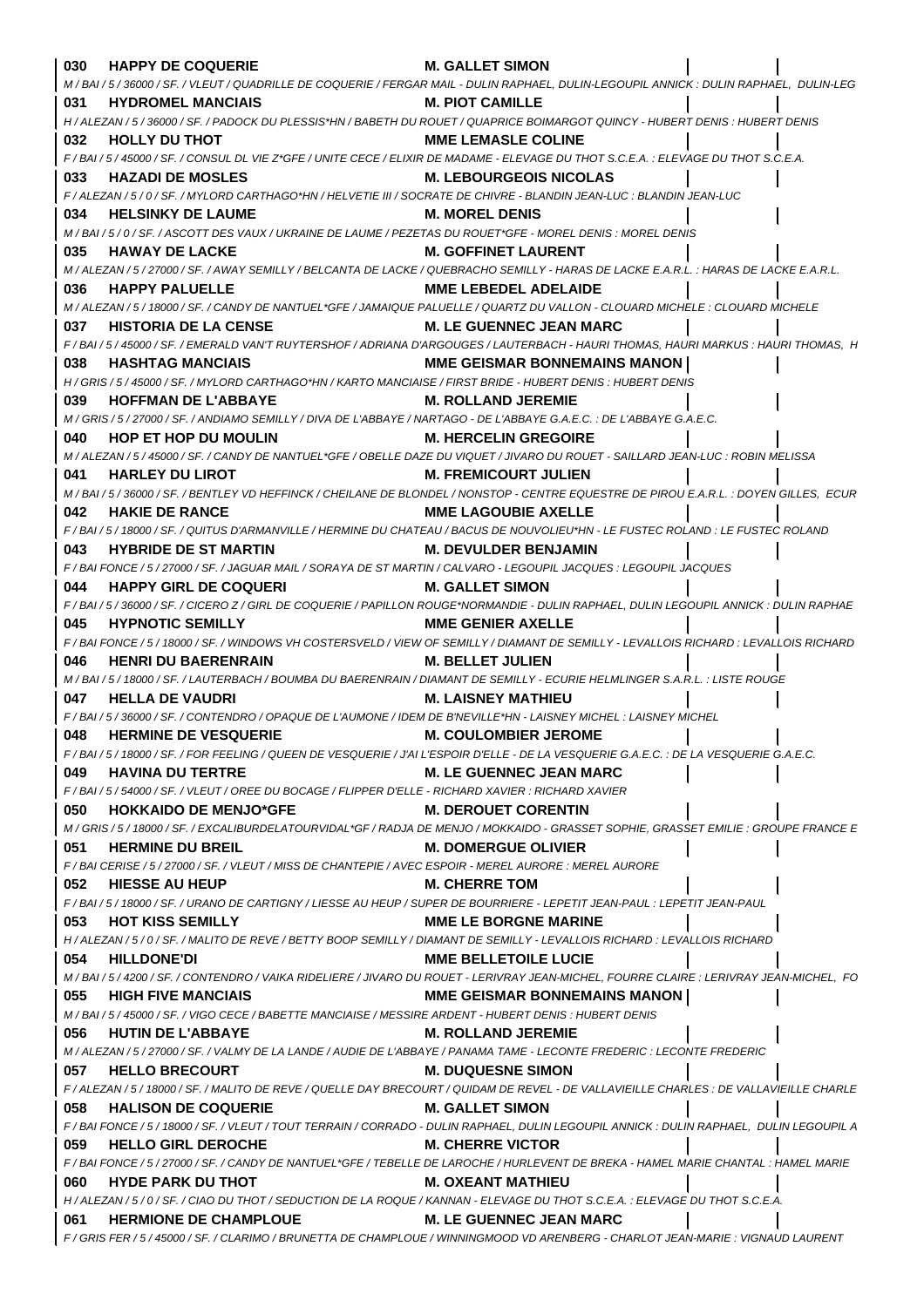| 030 | <b>HAPPY DE COQUERIE</b>                                                                                                | <b>M. GALLET SIMON</b>                                                                                                                                               |
|-----|-------------------------------------------------------------------------------------------------------------------------|----------------------------------------------------------------------------------------------------------------------------------------------------------------------|
|     |                                                                                                                         | M / BAI / 5 / 36000 / SF. / VLEUT / QUADRILLE DE COQUERIE / FERGAR MAIL - DULIN RAPHAEL, DULIN-LEGOUPIL ANNICK : DULIN RAPHAEL, DULIN-LEG                            |
| 031 | <b>HYDROMEL MANCIAIS</b>                                                                                                | <b>M. PIOT CAMILLE</b>                                                                                                                                               |
|     |                                                                                                                         | H / ALEZAN / 5 / 36000 / SF. / PADOCK DU PLESSIS*HN / BABETH DU ROUET / QUAPRICE BOIMARGOT QUINCY - HUBERT DENIS: HUBERT DENIS                                       |
| 032 | <b>HOLLY DU THOT</b>                                                                                                    | <b>MME LEMASLE COLINE</b>                                                                                                                                            |
|     |                                                                                                                         | F / BAI / 5 / 45000 / SF. / CONSUL DL VIE Z*GFE / UNITE CECE / ELIXIR DE MADAME - ELEVAGE DU THOT S.C.E.A. : ELEVAGE DU THOT S.C.E.A.                                |
| 033 | <b>HAZADI DE MOSLES</b>                                                                                                 | <b>M. LEBOURGEOIS NICOLAS</b>                                                                                                                                        |
|     |                                                                                                                         | F / ALEZAN / 5 / 0 / SF. / MYLORD CARTHAGO*HN / HELVETIE III / SOCRATE DE CHIVRE - BLANDIN JEAN-LUC : BLANDIN JEAN-LUC                                               |
| 034 | <b>HELSINKY DE LAUME</b>                                                                                                | <b>M. MOREL DENIS</b>                                                                                                                                                |
|     | M/BAI/5/0/SF./ASCOTT DES VAUX/UKRAINE DE LAUME/PEZETAS DU ROUET*GFE - MOREL DENIS : MOREL DENIS                         |                                                                                                                                                                      |
| 035 | <b>HAWAY DE LACKE</b>                                                                                                   | <b>M. GOFFINET LAURENT</b>                                                                                                                                           |
|     |                                                                                                                         | M / ALEZAN / 5 / 27000 / SF. / AWAY SEMILLY / BELCANTA DE LACKE / QUEBRACHO SEMILLY - HARAS DE LACKE E.A.R.L. : HARAS DE LACKE E.A.R.L.                              |
| 036 | <b>HAPPY PALUELLE</b>                                                                                                   | <b>MME LEBEDEL ADELAIDE</b>                                                                                                                                          |
|     |                                                                                                                         | M / ALEZAN / 5 / 18000 / SF. / CANDY DE NANTUEL*GFE / JAMAIQUE PALUELLE / QUARTZ DU VALLON - CLOUARD MICHELE : CLOUARD MICHELE                                       |
| 037 | <b>HISTORIA DE LA CENSE</b>                                                                                             | <b>M. LE GUENNEC JEAN MARC</b>                                                                                                                                       |
|     |                                                                                                                         | F/BAI/5/45000/SF./EMERALD VAN'T RUYTERSHOF/ADRIANA D'ARGOUGES/LAUTERBACH - HAURI THOMAS, HAURI MARKUS : HAURI THOMAS, H                                              |
| 038 | <b>HASHTAG MANCIAIS</b>                                                                                                 | <b>MME GEISMAR BONNEMAINS MANON  </b>                                                                                                                                |
|     | H / GRIS / 5 / 45000 / SF. / MYLORD CARTHAGO*HN / KARTO MANCIAISE / FIRST BRIDE - HUBERT DENIS : HUBERT DENIS           |                                                                                                                                                                      |
| 039 | <b>HOFFMAN DE L'ABBAYE</b>                                                                                              | <b>M. ROLLAND JEREMIE</b>                                                                                                                                            |
|     | M / GRIS / 5 / 27000 / SF. / ANDIAMO SEMILLY / DIVA DE L'ABBAYE / NARTAGO - DE L'ABBAYE G.A.E.C. : DE L'ABBAYE G.A.E.C. |                                                                                                                                                                      |
| 040 | <b>HOP ET HOP DU MOULIN</b>                                                                                             | <b>M. HERCELIN GREGOIRE</b>                                                                                                                                          |
|     |                                                                                                                         | M / ALEZAN / 5 / 45000 / SF. / CANDY DE NANTUEL*GFE / OBELLE DAZE DU VIQUET / JIVARO DU ROUET - SAILLARD JEAN-LUC : ROBIN MELISSA                                    |
| 041 | <b>HARLEY DU LIROT</b>                                                                                                  | <b>M. FREMICOURT JULIEN</b>                                                                                                                                          |
|     |                                                                                                                         | M / BAI / 5 / 36000 / SF. / BENTLEY VD HEFFINCK / CHEILANE DE BLONDEL / NONSTOP - CENTRE EQUESTRE DE PIROU E.A.R.L. : DOYEN GILLES, ECUR                             |
| 042 | <b>HAKIE DE RANCE</b>                                                                                                   | <b>MME LAGOUBIE AXELLE</b>                                                                                                                                           |
|     |                                                                                                                         | F/BAI/5/18000/SF./QUITUS D'ARMANVILLE/HERMINE DU CHATEAU/BACUS DE NOUVOLIEU*HN - LE FUSTEC ROLAND : LE FUSTEC ROLAND                                                 |
| 043 | <b>HYBRIDE DE ST MARTIN</b>                                                                                             | <b>M. DEVULDER BENJAMIN</b>                                                                                                                                          |
|     |                                                                                                                         | F / BAI FONCE / 5 / 27000 / SF. / JAGUAR MAIL / SORAYA DE ST MARTIN / CALVARO - LEGOUPIL JACQUES : LEGOUPIL JACQUES                                                  |
| 044 | <b>HAPPY GIRL DE COQUERI</b>                                                                                            | <b>M. GALLET SIMON</b>                                                                                                                                               |
| 045 | <b>HYPNOTIC SEMILLY</b>                                                                                                 | F / BAI / 5 / 36000 / SF. / CICERO Z / GIRL DE COQUERIE / PAPILLON ROUGE*NORMANDIE - DULIN RAPHAEL, DULIN LEGOUPIL ANNICK : DULIN RAPHAE<br><b>MME GENIER AXELLE</b> |
|     |                                                                                                                         | F/BAI FONCE/5/18000/SF./WINDOWS VH COSTERSVELD/VIEW OF SEMILLY/DIAMANT DE SEMILLY - LEVALLOIS RICHARD : LEVALLOIS RICHARD                                            |
| 046 | <b>HENRI DU BAERENRAIN</b>                                                                                              | <b>M. BELLET JULIEN</b>                                                                                                                                              |
|     |                                                                                                                         | M / BAI / 5 / 18000 / SF. / LAUTERBACH / BOUMBA DU BAERENRAIN / DIAMANT DE SEMILLY - ECURIE HELMLINGER S.A.R.L. : LISTE ROUGE                                        |
| 047 | <b>HELLA DE VAUDRI</b>                                                                                                  | <b>M. LAISNEY MATHIEU</b>                                                                                                                                            |
|     | F / BAI / 5 / 36000 / SF. / CONTENDRO / OPAQUE DE L'AUMONE / IDEM DE B'NEVILLE*HN - LAISNEY MICHEL : LAISNEY MICHEL     |                                                                                                                                                                      |
| 048 | <b>HERMINE DE VESQUERIE</b>                                                                                             | <b>M. COULOMBIER JEROME</b>                                                                                                                                          |
|     |                                                                                                                         | F / BAI / 5 / 18000 / SF. / FOR FEELING / QUEEN DE VESQUERIE / J'AI L'ESPOIR D'ELLE - DE LA VESQUERIE G.A.E.C.                                                       |
| 049 | <b>HAVINA DU TERTRE</b>                                                                                                 | <b>M. LE GUENNEC JEAN MARC</b>                                                                                                                                       |
|     | F / BAI / 5 / 54000 / SF. / VLEUT / OREE DU BOCAGE / FLIPPER D'ELLE - RICHARD XAVIER : RICHARD XAVIER                   |                                                                                                                                                                      |
| 050 | <b>HOKKAIDO DE MENJO*GFE</b>                                                                                            | <b>M. DEROUET CORENTIN</b>                                                                                                                                           |
|     |                                                                                                                         | M / GRIS / 5 / 18000 / SF. / EXCALIBURDELATOURVIDAL*GF / RADJA DE MENJO / MOKKAIDO - GRASSET SOPHIE, GRASSET EMILIE : GROUPE FRANCE E                                |
| 051 | <b>HERMINE DU BREIL</b>                                                                                                 | <b>M. DOMERGUE OLIVIER</b>                                                                                                                                           |
|     | F / BAI CERISE / 5 / 27000 / SF. / VLEUT / MISS DE CHANTEPIE / AVEC ESPOIR - MEREL AURORE : MEREL AURORE                |                                                                                                                                                                      |
| 052 | <b>HIESSE AU HEUP</b>                                                                                                   | <b>M. CHERRE TOM</b>                                                                                                                                                 |
|     |                                                                                                                         | F / BAI / 5 / 18000 / SF. / URANO DE CARTIGNY / LIESSE AU HEUP / SUPER DE BOURRIERE - LEPETIT JEAN-PAUL : LEPETIT JEAN-PAUL                                          |
| 053 |                                                                                                                         |                                                                                                                                                                      |
|     | <b>HOT KISS SEMILLY</b>                                                                                                 | <b>MME LE BORGNE MARINE</b>                                                                                                                                          |
| 054 |                                                                                                                         | H / ALEZAN / 5 / 0 / SF. / MALITO DE REVE / BETTY BOOP SEMILLY / DIAMANT DE SEMILLY - LEVALLOIS RICHARD : LEVALLOIS RICHARD                                          |
|     | <b>HILLDONE'DI</b>                                                                                                      | <b>MME BELLETOILE LUCIE</b>                                                                                                                                          |
|     |                                                                                                                         | M / BAI / 5 / 4200 / SF. / CONTENDRO / VAIKA RIDELIERE / JIVARO DU ROUET - LERIVRAY JEAN-MICHEL, FOURRE CLAIRE : LERIVRAY JEAN-MICHEL, FO                            |
| 055 | <b>HIGH FIVE MANCIAIS</b>                                                                                               | <b>MME GEISMAR BONNEMAINS MANON  </b>                                                                                                                                |
|     | M / BAI / 5 / 45000 / SF. / VIGO CECE / BABETTE MANCIAISE / MESSIRE ARDENT - HUBERT DENIS : HUBERT DENIS                |                                                                                                                                                                      |
| 056 | <b>HUTIN DE L'ABBAYE</b>                                                                                                | <b>M. ROLLAND JEREMIE</b>                                                                                                                                            |
|     |                                                                                                                         | M / ALEZAN / 5 / 27000 / SF. / VALMY DE LA LANDE / AUDIE DE L'ABBAYE / PANAMA TAME - LECONTE FREDERIC : LECONTE FREDERIC                                             |
| 057 | <b>HELLO BRECOURT</b>                                                                                                   | <b>M. DUQUESNE SIMON</b>                                                                                                                                             |
|     |                                                                                                                         | F / ALEZAN / 5 / 18000 / SF. / MALITO DE REVE / QUELLE DAY BRECOURT / QUIDAM DE REVEL - DE VALLAVIEILLE CHARLES : DE VALLAVIEILLE CHARLE                             |
| 058 | <b>HALISON DE COQUERIE</b>                                                                                              | <b>M. GALLET SIMON</b>                                                                                                                                               |
|     |                                                                                                                         | F/BAI FONCE/5/18000/SF./VLEUT/TOUT TERRAIN/CORRADO - DULIN RAPHAEL, DULIN LEGOUPIL ANNICK: DULIN RAPHAEL, DULIN LEGOUPIL A                                           |
| 059 | <b>HELLO GIRL DEROCHE</b>                                                                                               | <b>M. CHERRE VICTOR</b>                                                                                                                                              |
|     |                                                                                                                         | F / BAI FONCE / 5 / 27000 / SF. / CANDY DE NANTUEL*GFE / TEBELLE DE LAROCHE / HURLEVENT DE BREKA - HAMEL MARIE CHANTAL : HAMEL MARIE                                 |
| 060 | <b>HYDE PARK DU THOT</b>                                                                                                | <b>M. OXEANT MATHIEU</b>                                                                                                                                             |
|     |                                                                                                                         | H / ALEZAN / 5 / 0 / SF. / CIAO DU THOT / SEDUCTION DE LA ROQUE / KANNAN - ELEVAGE DU THOT S.C.E.A. : ELEVAGE DU THOT S.C.E.A.                                       |
| 061 | <b>HERMIONE DE CHAMPLOUE</b>                                                                                            | <b>M. LE GUENNEC JEAN MARC</b><br>F / GRIS FER / 5 / 45000 / SF. / CLARIMO / BRUNETTA DE CHAMPLOUE / WINNINGMOOD VD ARENBERG - CHARLOT JEAN-MARIE : VIGNAUD LAURENT  |